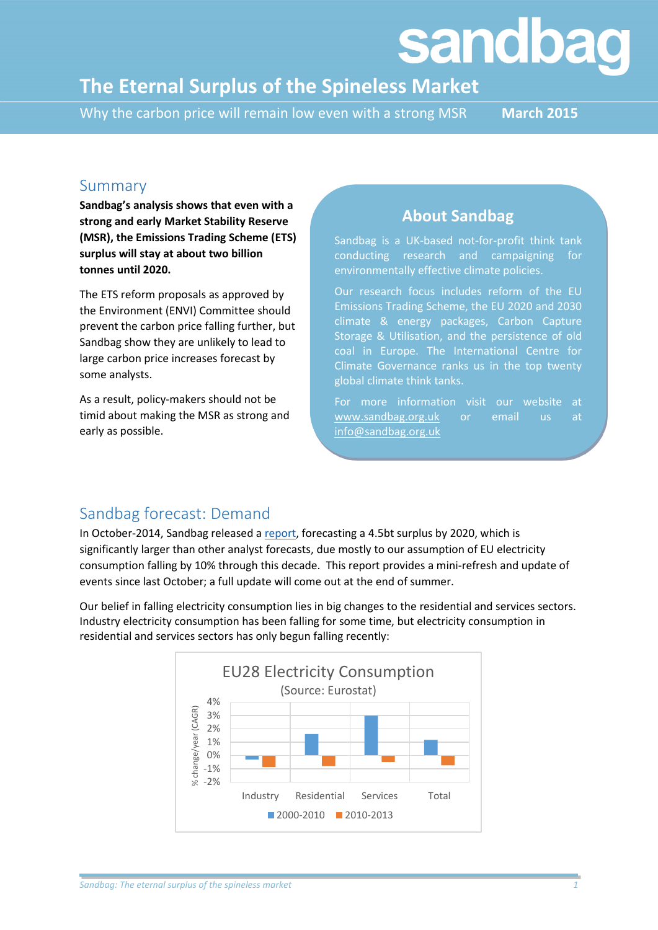# **sandbag**

## **The Eternal Surplus of the Spineless Market**

Why the carbon price will remain low even with a strong MSR **March 2015** 

#### Summary

**Sandbag's analysis shows that even with a strong and early Market Stability Reserve (MSR), the Emissions Trading Scheme (ETS) surplus will stay at about two billion tonnes until 2020.**

The ETS reform proposals as approved by the Environment (ENVI) Committee should prevent the carbon price falling further, but Sandbag show they are unlikely to lead to large carbon price increases forecast by some analysts.

As a result, policy-makers should not be timid about making the MSR as strong and early as possible.

#### **About Sandbag**

Sandbag is a UK-based not-for-profit think tank conducting research and campaigning for environmentally effective climate policies.

Our research focus includes reform of the EU Emissions Trading Scheme, the EU 2020 and 2030 climate & energy packages, Carbon Capture Storage & Utilisation, and the persistence of old coal in Europe. The International Centre for Climate Governance ranks us in the top twenty global climate think tanks.

For more information visit our website at [www.sandbag.org.uk](http://www.sandbag.org.uk/) or email us at [info@sandbag.org.uk](mailto:info@sandbag.org.uk)

#### Sandbag forecast: Demand

In October-2014, Sandbag released a [report,](http://www.sandbag.org.uk/site_media/pdfs/reports/Briefing-2020surplusprojection.pdf) forecasting a 4.5bt surplus by 2020, which is significantly larger than other analyst forecasts, due mostly to our assumption of EU electricity consumption falling by 10% through this decade. This report provides a mini-refresh and update of events since last October; a full update will come out at the end of summer.

Our belief in falling electricity consumption lies in big changes to the residential and services sectors. Industry electricity consumption has been falling for some time, but electricity consumption in residential and services sectors has only begun falling recently:

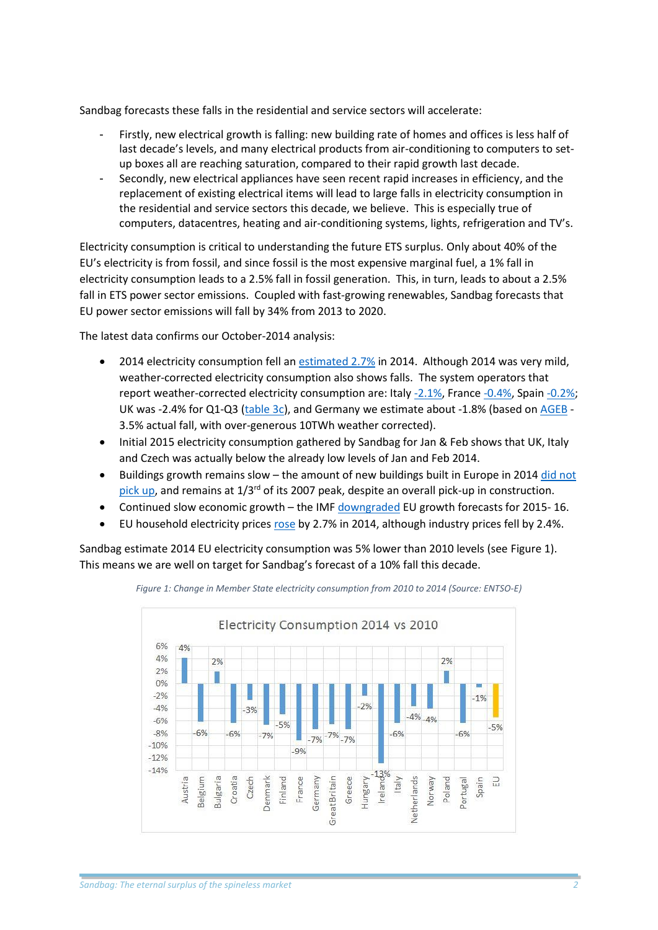Sandbag forecasts these falls in the residential and service sectors will accelerate:

- Firstly, new electrical growth is falling: new building rate of homes and offices is less half of last decade's levels, and many electrical products from air-conditioning to computers to setup boxes all are reaching saturation, compared to their rapid growth last decade.
- Secondly, new electrical appliances have seen recent rapid increases in efficiency, and the replacement of existing electrical items will lead to large falls in electricity consumption in the residential and service sectors this decade, we believe. This is especially true of computers, datacentres, heating and air-conditioning systems, lights, refrigeration and TV's.

Electricity consumption is critical to understanding the future ETS surplus. Only about 40% of the EU's electricity is from fossil, and since fossil is the most expensive marginal fuel, a 1% fall in electricity consumption leads to a 2.5% fall in fossil generation. This, in turn, leads to about a 2.5% fall in ETS power sector emissions. Coupled with fast-growing renewables, Sandbag forecasts that EU power sector emissions will fall by 34% from 2013 to 2020.

The latest data confirms our October-2014 analysis:

- 2014 electricity consumption fell an [estimated 2.7%](http://www.sandbag.org.uk/blog/2015/jan/14/eu-power-emissions-fell-more-8-2014/) in 2014. Although 2014 was very mild, weather-corrected electricity consumption also shows falls. The system operators that report weather-corrected electricity consumption are: Ital[y -2.1%,](http://www.terna.it/default/home_en/the_company/press_room/press_releases/pr_2015/pr_january_2015/Early_data_on_energy_consumption_2014.aspx) Franc[e -0.4%,](http://www.rte-france.com/sites/default/files/2015_01_27_pk_rte_2014_french_electricity_report.pdf) Spain [-0.2%;](http://www.ree.es/sites/default/files/downloadable/preliminary_report_2014.pdf) UK was -2.4% for Q1-Q3 [\(table 3c\)](https://www.gov.uk/government/uploads/system/uploads/attachment_data/file/388395/et1_3.xls), and Germany we estimate about -1.8% (based on [AGEB](http://www.ag-energiebilanzen.de/4-1-Home.html) - 3.5% actual fall, with over-generous 10TWh weather corrected).
- Initial 2015 electricity consumption gathered by Sandbag for Jan & Feb shows that UK, Italy and Czech was actually below the already low levels of Jan and Feb 2014.
- Buildings growth remains slow the amount of new buildings built in Europe in 2014 did not [pick up,](http://ec.europa.eu/eurostat/statistics-explained/index.php/File:EU28_building_production_and_building_permits_q_sa_2000-2014.png) and remains at 1/3rd of its 2007 peak, despite an overall pick-up in construction.
- Continued slow economic growth the IM[F downgraded](http://www.imf.org/external/pubs/ft/weo/2015/update/01/pdf/0115.pdf) EU growth forecasts for 2015- 16.
- EU household electricity prices [rose](http://ec.europa.eu/eurostat/tgm/refreshTableAction.do?tab=table&plugin=1&pcode=ten00117&language=en) by 2.7% in 2014, although industry prices fell by 2.4%.

Sandbag estimate 2014 EU electricity consumption was 5% lower than 2010 levels (see Figure 1). This means we are well on target for Sandbag's forecast of a 10% fall this decade.



*Figure 1: Change in Member State electricity consumption from 2010 to 2014 (Source: ENTSO-E)*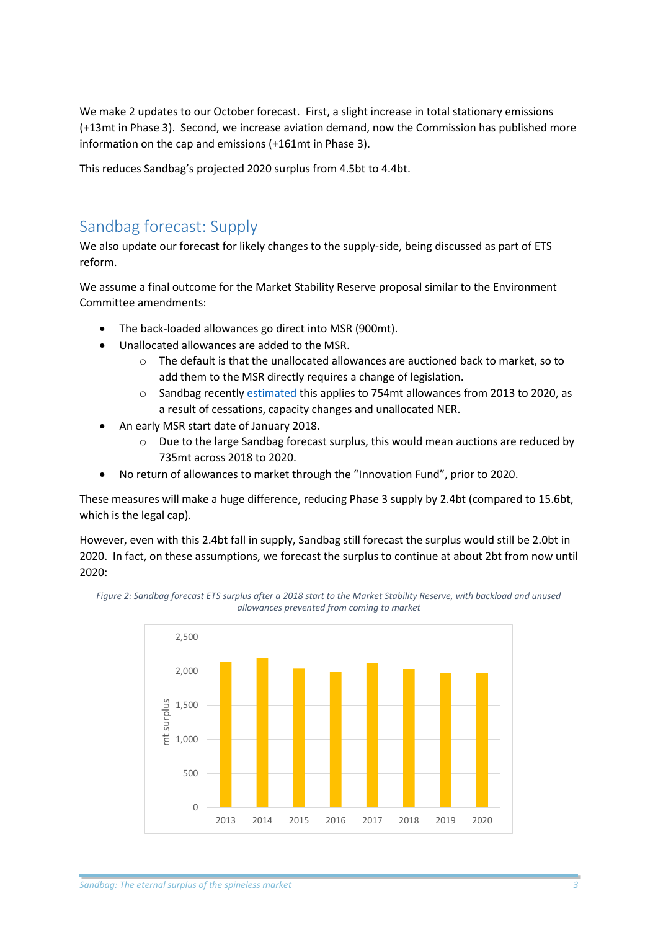We make 2 updates to our October forecast. First, a slight increase in total stationary emissions (+13mt in Phase 3). Second, we increase aviation demand, now the Commission has published more information on the cap and emissions (+161mt in Phase 3).

This reduces Sandbag's projected 2020 surplus from 4.5bt to 4.4bt.

#### Sandbag forecast: Supply

We also update our forecast for likely changes to the supply-side, being discussed as part of ETS reform.

We assume a final outcome for the Market Stability Reserve proposal similar to the Environment Committee amendments:

- The back-loaded allowances go direct into MSR (900mt).
- Unallocated allowances are added to the MSR.
	- $\circ$  The default is that the unallocated allowances are auctioned back to market, so to add them to the MSR directly requires a change of legislation.
	- o Sandbag recentl[y estimated](http://www.sandbag.org.uk/site_media/pdfs/reports/Avoiding_the_Avalanche.pdf) this applies to 754mt allowances from 2013 to 2020, as a result of cessations, capacity changes and unallocated NER.
- An early MSR start date of January 2018.
	- $\circ$  Due to the large Sandbag forecast surplus, this would mean auctions are reduced by 735mt across 2018 to 2020.
- No return of allowances to market through the "Innovation Fund", prior to 2020.

These measures will make a huge difference, reducing Phase 3 supply by 2.4bt (compared to 15.6bt, which is the legal cap).

However, even with this 2.4bt fall in supply, Sandbag still forecast the surplus would still be 2.0bt in 2020. In fact, on these assumptions, we forecast the surplus to continue at about 2bt from now until 2020: